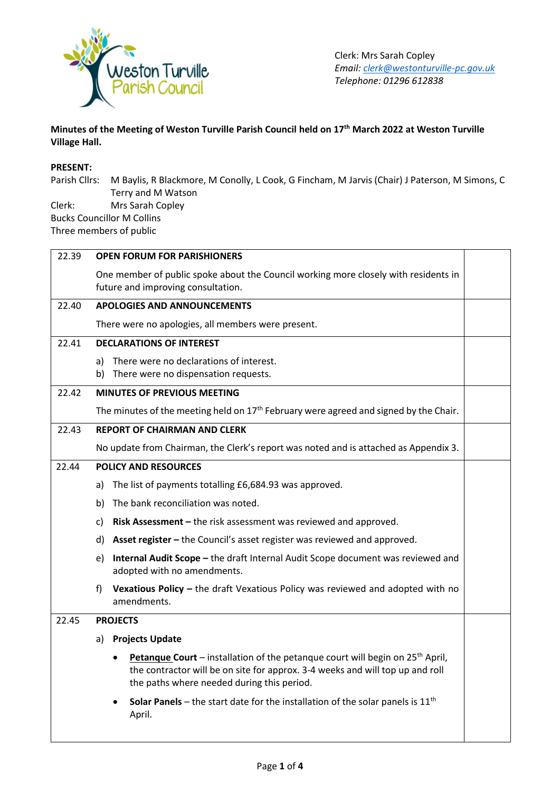

# **Minutes of the Meeting of Weston Turville Parish Council held on 17th March 2022 at Weston Turville Village Hall.**

# **PRESENT:**

Parish Cllrs: M Baylis, R Blackmore, M Conolly, L Cook, G Fincham, M Jarvis (Chair) J Paterson, M Simons, C Terry and M Watson Clerk: Mrs Sarah Copley Bucks Councillor M Collins

Three members of public

| 22.39 | <b>OPEN FORUM FOR PARISHIONERS</b>                                                                                            |                                                                                                                                                                                                                                       |  |
|-------|-------------------------------------------------------------------------------------------------------------------------------|---------------------------------------------------------------------------------------------------------------------------------------------------------------------------------------------------------------------------------------|--|
|       | One member of public spoke about the Council working more closely with residents in                                           |                                                                                                                                                                                                                                       |  |
|       |                                                                                                                               | future and improving consultation.                                                                                                                                                                                                    |  |
| 22.40 | <b>APOLOGIES AND ANNOUNCEMENTS</b>                                                                                            |                                                                                                                                                                                                                                       |  |
|       |                                                                                                                               | There were no apologies, all members were present.                                                                                                                                                                                    |  |
| 22.41 | <b>DECLARATIONS OF INTEREST</b>                                                                                               |                                                                                                                                                                                                                                       |  |
|       | a)                                                                                                                            | There were no declarations of interest.                                                                                                                                                                                               |  |
|       | b)                                                                                                                            | There were no dispensation requests.                                                                                                                                                                                                  |  |
| 22.42 | <b>MINUTES OF PREVIOUS MEETING</b><br>The minutes of the meeting held on $17th$ February were agreed and signed by the Chair. |                                                                                                                                                                                                                                       |  |
|       |                                                                                                                               |                                                                                                                                                                                                                                       |  |
| 22.43 | <b>REPORT OF CHAIRMAN AND CLERK</b><br>No update from Chairman, the Clerk's report was noted and is attached as Appendix 3.   |                                                                                                                                                                                                                                       |  |
|       |                                                                                                                               |                                                                                                                                                                                                                                       |  |
| 22.44 | <b>POLICY AND RESOURCES</b>                                                                                                   |                                                                                                                                                                                                                                       |  |
|       | a)                                                                                                                            | The list of payments totalling £6,684.93 was approved.                                                                                                                                                                                |  |
|       | b)                                                                                                                            | The bank reconciliation was noted.                                                                                                                                                                                                    |  |
|       | c)                                                                                                                            | Risk Assessment - the risk assessment was reviewed and approved.                                                                                                                                                                      |  |
|       | d)                                                                                                                            | Asset register – the Council's asset register was reviewed and approved.                                                                                                                                                              |  |
|       | e)                                                                                                                            | Internal Audit Scope - the draft Internal Audit Scope document was reviewed and<br>adopted with no amendments.                                                                                                                        |  |
|       | f)                                                                                                                            | Vexatious Policy - the draft Vexatious Policy was reviewed and adopted with no<br>amendments.                                                                                                                                         |  |
| 22.45 | <b>PROJECTS</b>                                                                                                               |                                                                                                                                                                                                                                       |  |
|       | <b>Projects Update</b><br>a)                                                                                                  |                                                                                                                                                                                                                                       |  |
|       |                                                                                                                               | Petanque Court - installation of the petanque court will begin on 25 <sup>th</sup> April,<br>$\bullet$<br>the contractor will be on site for approx. 3-4 weeks and will top up and roll<br>the paths where needed during this period. |  |
|       |                                                                                                                               | <b>Solar Panels</b> – the start date for the installation of the solar panels is $11th$<br>April.                                                                                                                                     |  |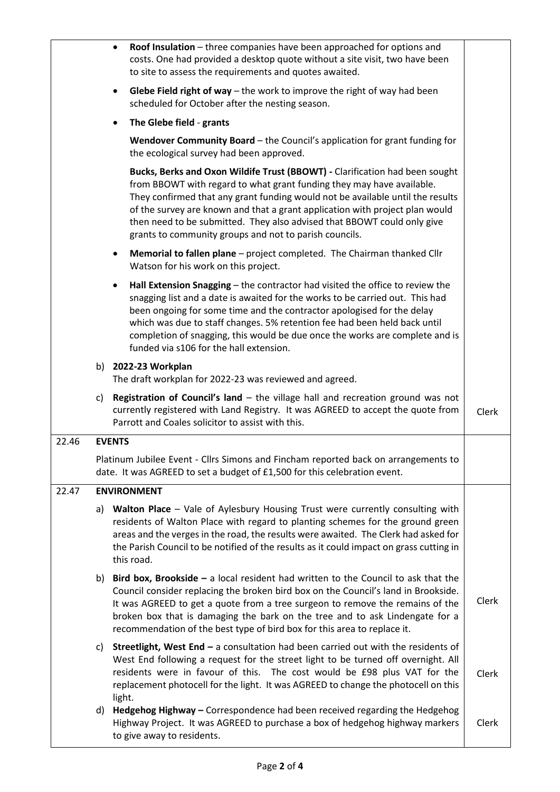|       |                                                                                                                                    | Roof Insulation - three companies have been approached for options and<br>$\bullet$<br>costs. One had provided a desktop quote without a site visit, two have been<br>to site to assess the requirements and quotes awaited.                                                                                                                                                                                                                                |       |  |
|-------|------------------------------------------------------------------------------------------------------------------------------------|-------------------------------------------------------------------------------------------------------------------------------------------------------------------------------------------------------------------------------------------------------------------------------------------------------------------------------------------------------------------------------------------------------------------------------------------------------------|-------|--|
|       | Glebe Field right of way $-$ the work to improve the right of way had been<br>٠<br>scheduled for October after the nesting season. |                                                                                                                                                                                                                                                                                                                                                                                                                                                             |       |  |
|       |                                                                                                                                    | The Glebe field - grants<br>$\bullet$                                                                                                                                                                                                                                                                                                                                                                                                                       |       |  |
|       | Wendover Community Board - the Council's application for grant funding for<br>the ecological survey had been approved.             |                                                                                                                                                                                                                                                                                                                                                                                                                                                             |       |  |
|       |                                                                                                                                    | Bucks, Berks and Oxon Wildife Trust (BBOWT) - Clarification had been sought<br>from BBOWT with regard to what grant funding they may have available.<br>They confirmed that any grant funding would not be available until the results<br>of the survey are known and that a grant application with project plan would<br>then need to be submitted. They also advised that BBOWT could only give<br>grants to community groups and not to parish councils. |       |  |
|       |                                                                                                                                    | Memorial to fallen plane - project completed. The Chairman thanked Cllr<br>٠<br>Watson for his work on this project.                                                                                                                                                                                                                                                                                                                                        |       |  |
|       |                                                                                                                                    | Hall Extension Snagging - the contractor had visited the office to review the<br>٠<br>snagging list and a date is awaited for the works to be carried out. This had<br>been ongoing for some time and the contractor apologised for the delay<br>which was due to staff changes. 5% retention fee had been held back until<br>completion of snagging, this would be due once the works are complete and is<br>funded via s106 for the hall extension.       |       |  |
|       |                                                                                                                                    | b) 2022-23 Workplan<br>The draft workplan for 2022-23 was reviewed and agreed.                                                                                                                                                                                                                                                                                                                                                                              |       |  |
|       | C)                                                                                                                                 | <b>Registration of Council's land – the village hall and recreation ground was not</b><br>currently registered with Land Registry. It was AGREED to accept the quote from<br>Parrott and Coales solicitor to assist with this.                                                                                                                                                                                                                              | Clerk |  |
| 22.46 | <b>EVENTS</b>                                                                                                                      |                                                                                                                                                                                                                                                                                                                                                                                                                                                             |       |  |
|       |                                                                                                                                    | Platinum Jubilee Event - Cllrs Simons and Fincham reported back on arrangements to<br>date. It was AGREED to set a budget of £1,500 for this celebration event.                                                                                                                                                                                                                                                                                             |       |  |
| 22.47 | <b>ENVIRONMENT</b>                                                                                                                 |                                                                                                                                                                                                                                                                                                                                                                                                                                                             |       |  |
|       | a)                                                                                                                                 | Walton Place - Vale of Aylesbury Housing Trust were currently consulting with<br>residents of Walton Place with regard to planting schemes for the ground green<br>areas and the verges in the road, the results were awaited. The Clerk had asked for<br>the Parish Council to be notified of the results as it could impact on grass cutting in<br>this road.                                                                                             |       |  |
|       |                                                                                                                                    | b) Bird box, Brookside $-$ a local resident had written to the Council to ask that the<br>Council consider replacing the broken bird box on the Council's land in Brookside.<br>It was AGREED to get a quote from a tree surgeon to remove the remains of the<br>broken box that is damaging the bark on the tree and to ask Lindengate for a<br>recommendation of the best type of bird box for this area to replace it.                                   | Clerk |  |
|       | C)                                                                                                                                 | <b>Streetlight, West End - a consultation had been carried out with the residents of</b><br>West End following a request for the street light to be turned off overnight. All<br>residents were in favour of this. The cost would be £98 plus VAT for the<br>replacement photocell for the light. It was AGREED to change the photocell on this<br>light.                                                                                                   | Clerk |  |
|       | d)                                                                                                                                 | Hedgehog Highway - Correspondence had been received regarding the Hedgehog<br>Highway Project. It was AGREED to purchase a box of hedgehog highway markers<br>to give away to residents.                                                                                                                                                                                                                                                                    | Clerk |  |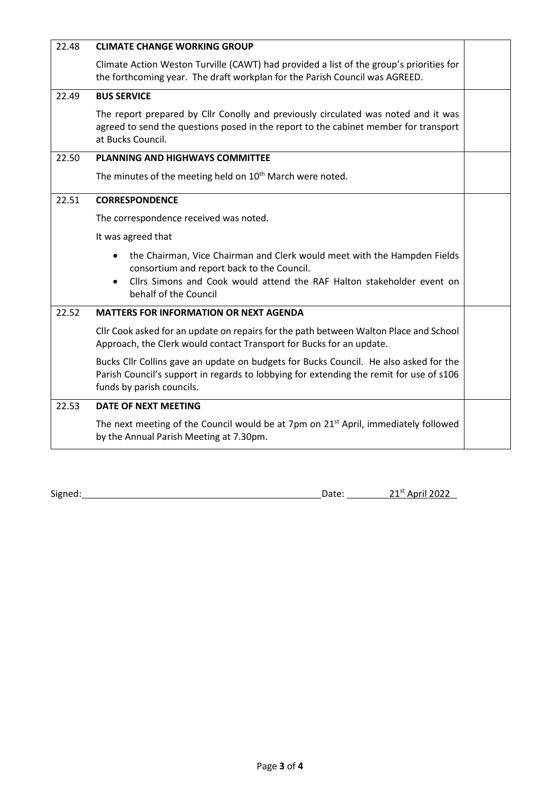| 22.48 | <b>CLIMATE CHANGE WORKING GROUP</b>                                                                                                                                                                                                                 |  |  |  |
|-------|-----------------------------------------------------------------------------------------------------------------------------------------------------------------------------------------------------------------------------------------------------|--|--|--|
|       | Climate Action Weston Turville (CAWT) had provided a list of the group's priorities for<br>the forthcoming year. The draft workplan for the Parish Council was AGREED.                                                                              |  |  |  |
| 22.49 | <b>BUS SERVICE</b>                                                                                                                                                                                                                                  |  |  |  |
|       | The report prepared by Cllr Conolly and previously circulated was noted and it was<br>agreed to send the questions posed in the report to the cabinet member for transport<br>at Bucks Council.                                                     |  |  |  |
| 22.50 | <b>PLANNING AND HIGHWAYS COMMITTEE</b>                                                                                                                                                                                                              |  |  |  |
|       | The minutes of the meeting held on 10 <sup>th</sup> March were noted.                                                                                                                                                                               |  |  |  |
| 22.51 | <b>CORRESPONDENCE</b>                                                                                                                                                                                                                               |  |  |  |
|       | The correspondence received was noted.                                                                                                                                                                                                              |  |  |  |
|       | It was agreed that                                                                                                                                                                                                                                  |  |  |  |
|       | the Chairman, Vice Chairman and Clerk would meet with the Hampden Fields<br>$\bullet$<br>consortium and report back to the Council.<br>Cllrs Simons and Cook would attend the RAF Halton stakeholder event on<br>$\bullet$<br>behalf of the Council |  |  |  |
| 22.52 | <b>MATTERS FOR INFORMATION OR NEXT AGENDA</b>                                                                                                                                                                                                       |  |  |  |
|       | Cllr Cook asked for an update on repairs for the path between Walton Place and School<br>Approach, the Clerk would contact Transport for Bucks for an update.                                                                                       |  |  |  |
|       | Bucks Cllr Collins gave an update on budgets for Bucks Council. He also asked for the<br>Parish Council's support in regards to lobbying for extending the remit for use of s106<br>funds by parish councils.                                       |  |  |  |
| 22.53 | DATE OF NEXT MEETING                                                                                                                                                                                                                                |  |  |  |
|       | The next meeting of the Council would be at 7pm on 21 <sup>st</sup> April, immediately followed<br>by the Annual Parish Meeting at 7.30pm.                                                                                                          |  |  |  |

Signed: Camera Communication Control of Capean Control Control Control Control Control Control Control Control Control Control Control Control Control Control Control Control Control Control Control Control Control Control